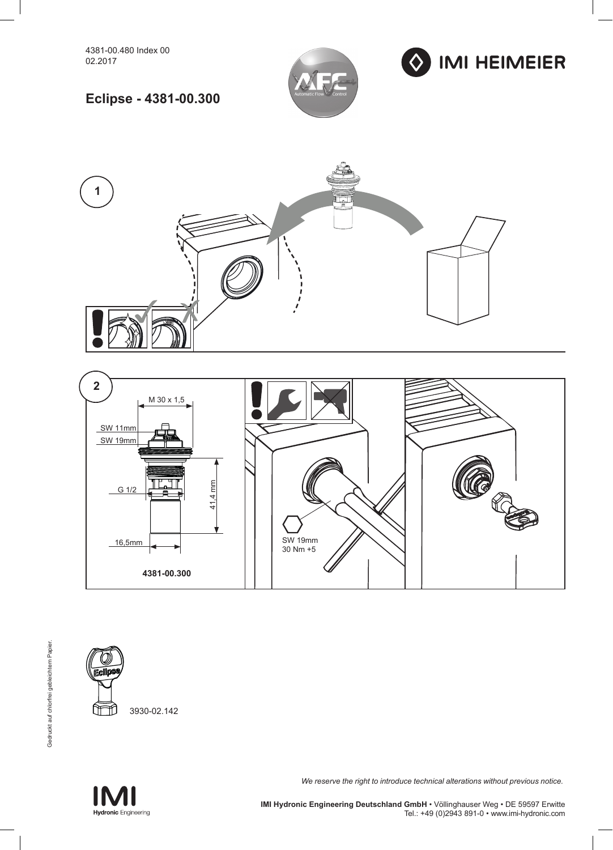



## **Eclipse - 4381-00.300**







**Hydronic** Engineering

*We reserve the right to introduce technical alterations without previous notice.*